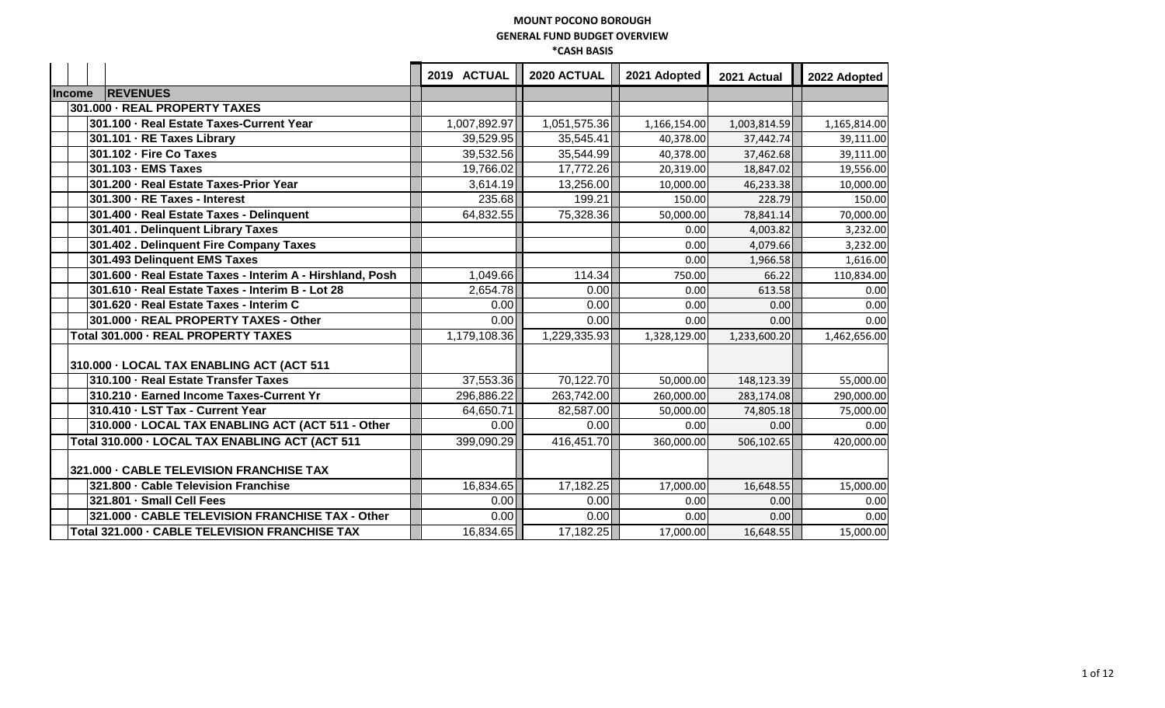|               |                                                           | 2019 ACTUAL  | 2020 ACTUAL  | 2021 Adopted | 2021 Actual  | 2022 Adopted |
|---------------|-----------------------------------------------------------|--------------|--------------|--------------|--------------|--------------|
| <b>Income</b> | <b>REVENUES</b>                                           |              |              |              |              |              |
|               | 301.000 - REAL PROPERTY TAXES                             |              |              |              |              |              |
|               | 301.100 - Real Estate Taxes-Current Year                  | 1,007,892.97 | 1,051,575.36 | 1,166,154.00 | 1,003,814.59 | 1,165,814.00 |
|               | 301.101 - RE Taxes Library                                | 39,529.95    | 35,545.41    | 40,378.00    | 37,442.74    | 39,111.00    |
|               | 301.102 - Fire Co Taxes                                   | 39,532.56    | 35,544.99    | 40,378.00    | 37,462.68    | 39,111.00    |
|               | 301.103 - EMS Taxes                                       | 19,766.02    | 17,772.26    | 20,319.00    | 18,847.02    | 19,556.00    |
|               | 301.200 - Real Estate Taxes-Prior Year                    | 3,614.19     | 13,256.00    | 10,000.00    | 46,233.38    | 10,000.00    |
|               | 301.300 - RE Taxes - Interest                             | 235.68       | 199.21       | 150.00       | 228.79       | 150.00       |
|               | 301.400 · Real Estate Taxes - Delinquent                  | 64,832.55    | 75,328.36    | 50,000.00    | 78,841.14    | 70,000.00    |
|               | 301.401 . Delinquent Library Taxes                        |              |              | 0.00         | 4,003.82     | 3,232.00     |
|               | 301.402. Delinquent Fire Company Taxes                    |              |              | 0.00         | 4,079.66     | 3,232.00     |
|               | 301.493 Delinquent EMS Taxes                              |              |              | 0.00         | 1,966.58     | 1,616.00     |
|               | 301.600 · Real Estate Taxes - Interim A - Hirshland, Posh | 1,049.66     | 114.34       | 750.00       | 66.22        | 110,834.00   |
|               | 301.610 - Real Estate Taxes - Interim B - Lot 28          | 2,654.78     | 0.00         | 0.00         | 613.58       | 0.00         |
|               | 301.620 - Real Estate Taxes - Interim C                   | 0.00         | 0.00         | 0.00         | 0.00         | 0.00         |
|               | 301.000 - REAL PROPERTY TAXES - Other                     | 0.00         | 0.00         | 0.00         | 0.00         | 0.00         |
|               | Total 301.000 - REAL PROPERTY TAXES                       | 1,179,108.36 | 1,229,335.93 | 1,328,129.00 | 1,233,600.20 | 1,462,656.00 |
|               | 310.000 · LOCAL TAX ENABLING ACT (ACT 511                 |              |              |              |              |              |
|               | 310.100 - Real Estate Transfer Taxes                      | 37,553.36    | 70,122.70    | 50,000.00    | 148,123.39   | 55,000.00    |
|               | 310.210 - Earned Income Taxes-Current Yr                  | 296,886.22   | 263,742.00   | 260,000.00   | 283,174.08   | 290,000.00   |
|               | 310.410 - LST Tax - Current Year                          | 64,650.71    | 82,587.00    | 50,000.00    | 74,805.18    | 75,000.00    |
|               | 310.000 - LOCAL TAX ENABLING ACT (ACT 511 - Other         | 0.00         | 0.00         | 0.00         | 0.00         | 0.00         |
|               | Total 310.000 - LOCAL TAX ENABLING ACT (ACT 511           | 399,090.29   | 416,451.70   | 360,000.00   | 506,102.65   | 420,000.00   |
|               | 321.000 - CABLE TELEVISION FRANCHISE TAX                  |              |              |              |              |              |
|               | 321.800 - Cable Television Franchise                      | 16,834.65    | 17,182.25    | 17,000.00    | 16,648.55    | 15,000.00    |
|               | 321.801 · Small Cell Fees                                 | 0.00         | 0.00         | 0.00         | 0.00         | 0.00         |
|               | 321.000 - CABLE TELEVISION FRANCHISE TAX - Other          | 0.00         | 0.00         | 0.00         | 0.00         | 0.00         |
|               | Total 321.000 - CABLE TELEVISION FRANCHISE TAX            | 16,834.65    | 17,182.25    | 17,000.00    | 16,648.55    | 15,000.00    |
|               |                                                           |              |              |              |              |              |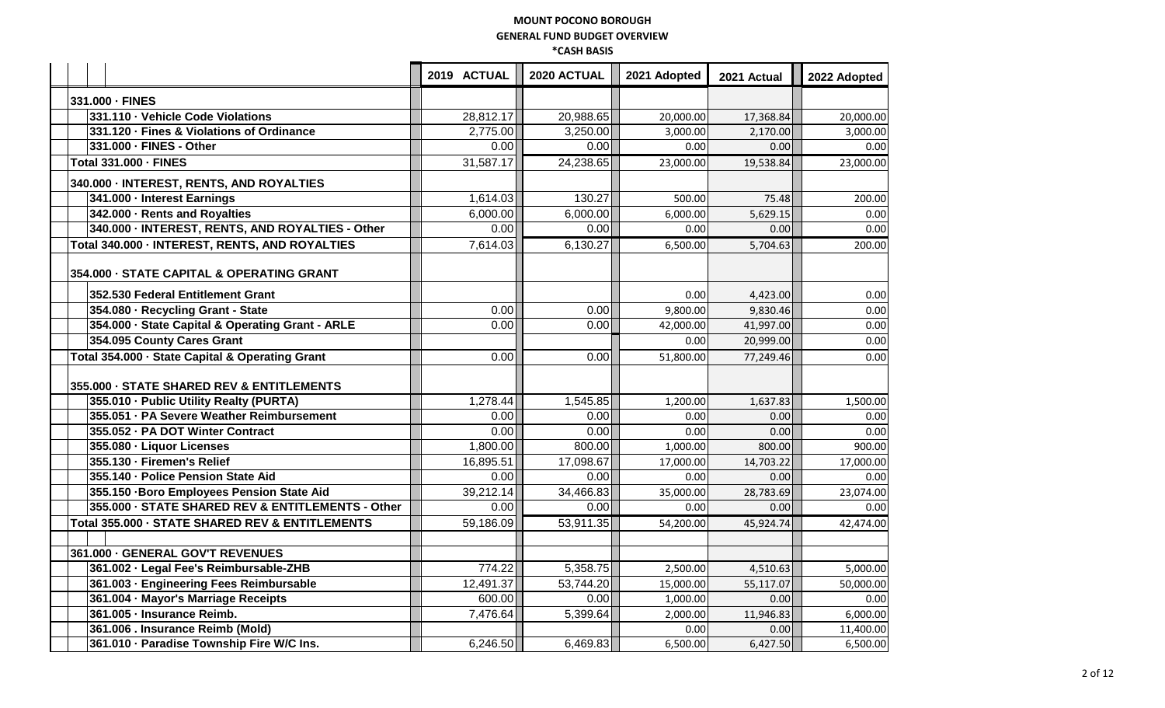|                                                   | 2019 ACTUAL | 2020 ACTUAL | 2021 Adopted | 2021 Actual | 2022 Adopted |
|---------------------------------------------------|-------------|-------------|--------------|-------------|--------------|
| 331.000 - FINES                                   |             |             |              |             |              |
| 331.110 - Vehicle Code Violations                 | 28,812.17   | 20,988.65   | 20,000.00    | 17,368.84   | 20,000.00    |
| 331.120 · Fines & Violations of Ordinance         | 2,775.00    | 3,250.00    | 3,000.00     | 2.170.00    | 3,000.00     |
| 331.000 - FINES - Other                           | 0.00        | 0.00        | 0.00         | 0.00        | 0.00         |
| Total 331.000 - FINES                             | 31,587.17   | 24,238.65   | 23,000.00    | 19,538.84   | 23,000.00    |
| 340.000 - INTEREST, RENTS, AND ROYALTIES          |             |             |              |             |              |
| 341.000 - Interest Earnings                       | 1,614.03    | 130.27      | 500.00       | 75.48       | 200.00       |
| 342.000 - Rents and Royalties                     | 6,000.00    | 6,000.00    | 6,000.00     | 5,629.15    | 0.00         |
| 340.000 - INTEREST, RENTS, AND ROYALTIES - Other  | 0.00        | 0.00        | 0.00         | 0.00        | 0.00         |
| Total 340.000 - INTEREST, RENTS, AND ROYALTIES    | 7,614.03    | 6,130.27    | 6,500.00     | 5,704.63    | 200.00       |
| 354.000 - STATE CAPITAL & OPERATING GRANT         |             |             |              |             |              |
| 352.530 Federal Entitlement Grant                 |             |             | 0.00         | 4,423.00    | 0.00         |
| 354.080 - Recycling Grant - State                 | 0.00        | 0.00        | 9,800.00     | 9,830.46    | 0.00         |
| 354.000 - State Capital & Operating Grant - ARLE  | 0.00        | 0.00        | 42,000.00    | 41,997.00   | 0.00         |
| 354.095 County Cares Grant                        |             |             | 0.00         | 20,999.00   | 0.00         |
| Total 354.000 - State Capital & Operating Grant   | 0.00        | 0.00        | 51,800.00    | 77,249.46   | 0.00         |
| 355.000 - STATE SHARED REV & ENTITLEMENTS         |             |             |              |             |              |
| 355.010 - Public Utility Realty (PURTA)           | 1,278.44    | 1,545.85    | 1,200.00     | 1,637.83    | 1,500.00     |
| 355.051 · PA Severe Weather Reimbursement         | 0.00        | 0.00        | 0.00         | 0.00        | 0.00         |
| 355.052 - PA DOT Winter Contract                  | 0.00        | 0.00        | 0.00         | 0.00        | 0.00         |
| 355.080 - Liquor Licenses                         | 1,800.00    | 800.00      | 1,000.00     | 800.00      | 900.00       |
| 355.130 - Firemen's Relief                        | 16,895.51   | 17,098.67   | 17,000.00    | 14,703.22   | 17,000.00    |
| 355.140 - Police Pension State Aid                | 0.00        | 0.00        | 0.00         | 0.00        | 0.00         |
| 355.150 - Boro Employees Pension State Aid        | 39,212.14   | 34,466.83   | 35,000.00    | 28,783.69   | 23,074.00    |
| 355.000 - STATE SHARED REV & ENTITLEMENTS - Other | 0.00        | 0.00        | 0.00         | 0.00        | 0.00         |
| Total 355.000 - STATE SHARED REV & ENTITLEMENTS   | 59,186.09   | 53,911.35   | 54,200.00    | 45,924.74   | 42,474.00    |
|                                                   |             |             |              |             |              |
| 361.000 - GENERAL GOV'T REVENUES                  |             |             |              |             |              |
| 361.002 - Legal Fee's Reimbursable-ZHB            | 774.22      | 5,358.75    | 2,500.00     | 4,510.63    | 5,000.00     |
| 361.003 · Engineering Fees Reimbursable           | 12,491.37   | 53,744.20   | 15,000.00    | 55,117.07   | 50,000.00    |
| 361.004 - Mayor's Marriage Receipts               | 600.00      | 0.00        | 1,000.00     | 0.00        | 0.00         |
| 361.005 · Insurance Reimb.                        | 7,476.64    | 5,399.64    | 2,000.00     | 11,946.83   | 6,000.00     |
| 361.006. Insurance Reimb (Mold)                   |             |             | 0.00         | 0.00        | 11,400.00    |
| 361.010 · Paradise Township Fire W/C Ins.         | 6,246.50    | 6,469.83    | 6,500.00     | 6,427.50    | 6,500.00     |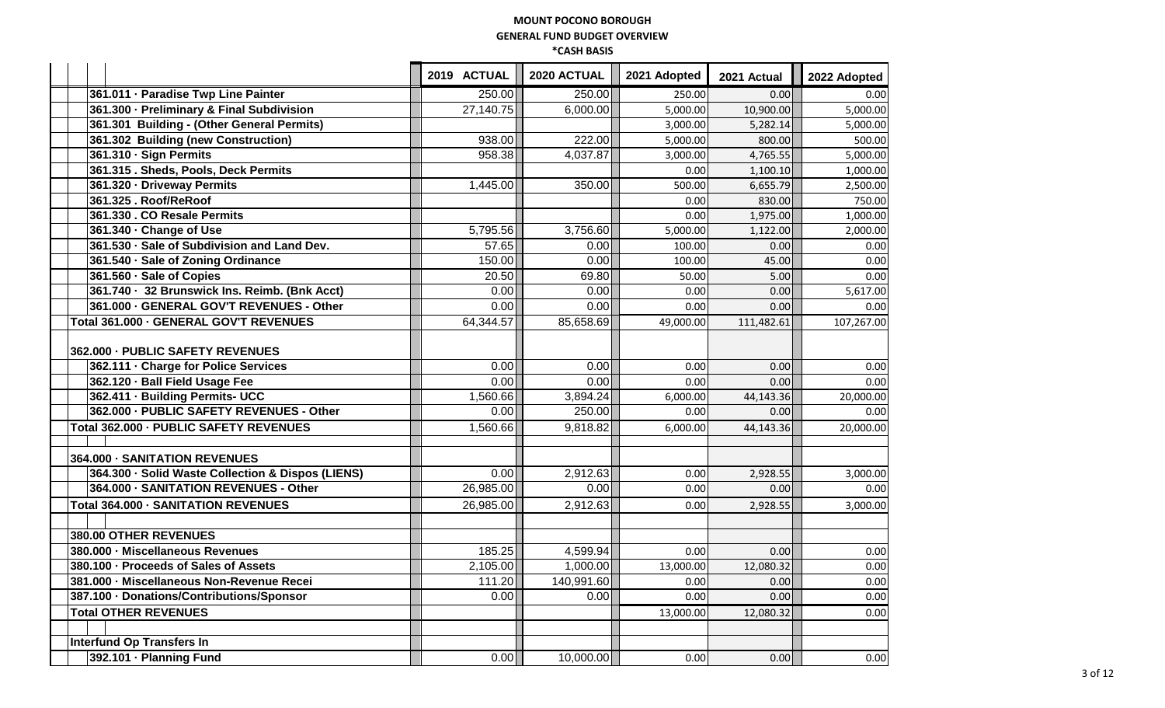|                                                   | 2019 ACTUAL             | 2020 ACTUAL | 2021 Adopted | 2021 Actual | 2022 Adopted |
|---------------------------------------------------|-------------------------|-------------|--------------|-------------|--------------|
| 361.011 · Paradise Twp Line Painter               | 250.00                  | 250.00      | 250.00       | 0.00        | 0.00         |
| 361.300 · Preliminary & Final Subdivision         | $\overline{27}, 140.75$ | 6,000.00    | 5,000.00     | 10,900.00   | 5,000.00     |
| 361.301 Building - (Other General Permits)        |                         |             | 3,000.00     | 5,282.14    | 5,000.00     |
| 361.302 Building (new Construction)               | 938.00                  | 222.00      | 5,000.00     | 800.00      | 500.00       |
| 361.310 · Sign Permits                            | 958.38                  | 4,037.87    | 3,000.00     | 4,765.55    | 5,000.00     |
| 361.315 . Sheds, Pools, Deck Permits              |                         |             | 0.00         | 1,100.10    | 1,000.00     |
| 361.320 · Driveway Permits                        | 1,445.00                | 350.00      | 500.00       | 6,655.79    | 2,500.00     |
| 361.325 . Roof/ReRoof                             |                         |             | 0.00         | 830.00      | 750.00       |
| 361.330 . CO Resale Permits                       |                         |             | 0.00         | 1,975.00    | 1,000.00     |
| 361.340 - Change of Use                           | 5,795.56                | 3,756.60    | 5,000.00     | 1,122.00    | 2,000.00     |
| 361.530 · Sale of Subdivision and Land Dev.       | 57.65                   | 0.00        | 100.00       | 0.00        | 0.00         |
| 361.540 · Sale of Zoning Ordinance                | 150.00                  | 0.00        | 100.00       | 45.00       | 0.00         |
| 361.560 · Sale of Copies                          | 20.50                   | 69.80       | 50.00        | 5.00        | 0.00         |
| 361.740 · 32 Brunswick Ins. Reimb. (Bnk Acct)     | 0.00                    | 0.00        | 0.00         | 0.00        | 5,617.00     |
| 361.000 - GENERAL GOV'T REVENUES - Other          | 0.00                    | 0.00        | 0.00         | 0.00        | 0.00         |
| Total 361.000 - GENERAL GOV'T REVENUES            | 64,344.57               | 85,658.69   | 49,000.00    | 111,482.61  | 107,267.00   |
| 362.000 - PUBLIC SAFETY REVENUES                  |                         |             |              |             |              |
| 362.111 · Charge for Police Services              | 0.00                    | 0.00        | 0.00         | 0.00        | 0.00         |
| 362.120 - Ball Field Usage Fee                    | 0.00                    | 0.00        | 0.00         | 0.00        | 0.00         |
| 362.411 - Building Permits- UCC                   | 1,560.66                | 3,894.24    | 6,000.00     | 44,143.36   | 20,000.00    |
| 362.000 - PUBLIC SAFETY REVENUES - Other          | 0.00                    | 250.00      | 0.00         | 0.00        | 0.00         |
| Total 362.000 - PUBLIC SAFETY REVENUES            | 1,560.66                | 9,818.82    | 6,000.00     | 44,143.36   | 20,000.00    |
|                                                   |                         |             |              |             |              |
| 364.000 - SANITATION REVENUES                     |                         |             |              |             |              |
| 364.300 · Solid Waste Collection & Dispos (LIENS) | 0.00                    | 2,912.63    | 0.00         | 2,928.55    | 3,000.00     |
| 364.000 - SANITATION REVENUES - Other             | 26,985.00               | 0.00        | 0.00         | 0.00        | 0.00         |
| Total 364.000 - SANITATION REVENUES               | 26,985.00               | 2,912.63    | 0.00         | 2,928.55    | 3,000.00     |
|                                                   |                         |             |              |             |              |
| 380.00 OTHER REVENUES                             |                         |             |              |             |              |
| 380.000 - Miscellaneous Revenues                  | 185.25                  | 4,599.94    | 0.00         | 0.00        | 0.00         |
| 380.100 · Proceeds of Sales of Assets             | 2,105.00                | 1,000.00    | 13,000.00    | 12,080.32   | 0.00         |
| 381.000 - Miscellaneous Non-Revenue Recei         | 111.20                  | 140,991.60  | 0.00         | 0.00        | 0.00         |
| 387.100 - Donations/Contributions/Sponsor         | 0.00                    | 0.00        | 0.00         | 0.00        | 0.00         |
| <b>Total OTHER REVENUES</b>                       |                         |             | 13,000.00    | 12,080.32   | 0.00         |
|                                                   |                         |             |              |             |              |
| <b>Interfund Op Transfers In</b>                  |                         |             |              |             |              |
| 392.101 · Planning Fund                           | 0.00                    | 10,000.00   | 0.00         | 0.00        | 0.00         |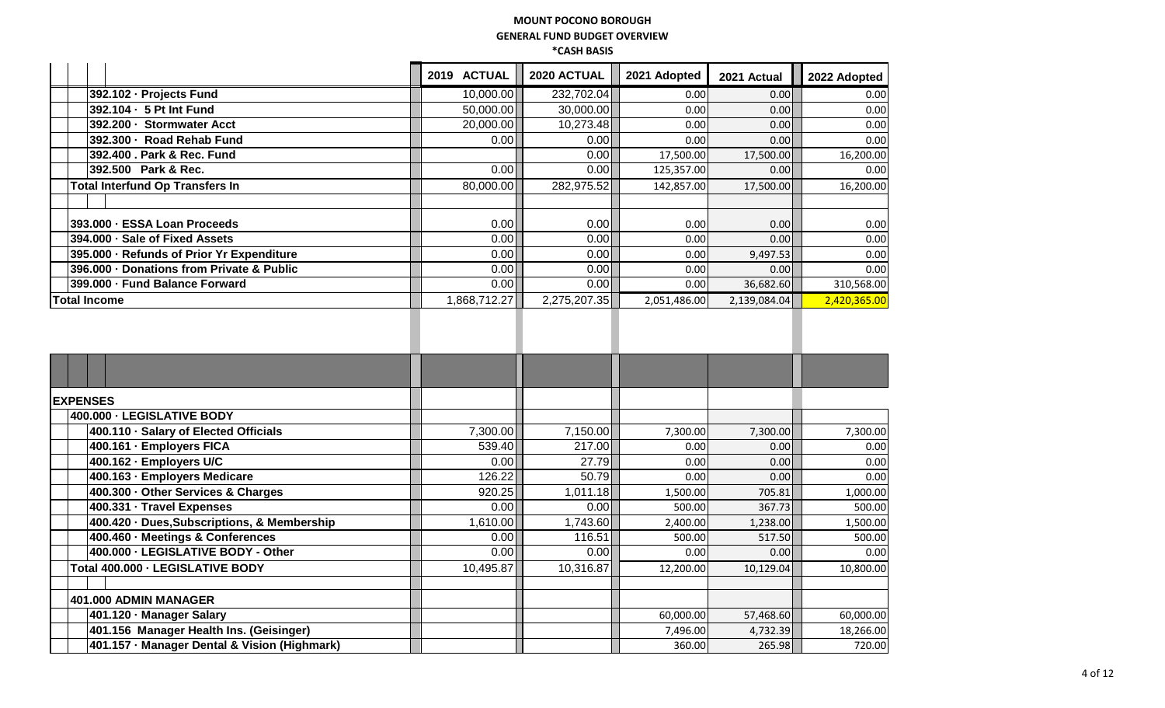|                                           | 2019 | <b>ACTUAL</b> | 2020 ACTUAL  | 2021 Adopted | 2021 Actual  | 2022 Adopted |
|-------------------------------------------|------|---------------|--------------|--------------|--------------|--------------|
| 392.102 - Projects Fund                   |      | 10,000.00     | 232,702.04   | 0.00         | 0.00         | 0.00         |
| 392.104 - 5 Pt Int Fund                   |      | 50,000.00     | 30,000.00    | 0.00         | 0.001        | 0.00         |
| 392.200 · Stormwater Acct                 |      | 20,000.00     | 10,273.48    | 0.00         | 0.00         | 0.00         |
| 392.300 · Road Rehab Fund                 |      | 0.00          | 0.00         | 0.00         | 0.00         | 0.00         |
| 392.400 . Park & Rec. Fund                |      |               | 0.00         | 17,500.00    | 17,500.00    | 16,200.00    |
| 392.500 Park & Rec.                       |      | 0.00          | 0.00         | 125,357.00   | 0.00         | 0.00         |
| <b>Total Interfund Op Transfers In</b>    |      | 80,000.00     | 282,975.52   | 142,857.00   | 17,500.00    | 16,200.00    |
|                                           |      |               |              |              |              |              |
| 393.000 - ESSA Loan Proceeds              |      | 0.00          | 0.00         | 0.00         | 0.00         | 0.00         |
| 394.000 · Sale of Fixed Assets            |      | 0.00          | 0.00         | 0.00         | 0.001        | 0.00         |
| 395.000 - Refunds of Prior Yr Expenditure |      | 0.00          | 0.00         | 0.00         | 9,497.53     | 0.00         |
| 396.000 - Donations from Private & Public |      | 0.00          | 0.00         | 0.00         | 0.00         | 0.00         |
| 399.000 - Fund Balance Forward            |      | 0.00          | 0.00         | 0.00         | 36,682.60    | 310,568.00   |
| <b>Total Income</b>                       |      | 1,868,712.27  | 2,275,207.35 | 2,051,486.00 | 2,139,084.04 | 2,420,365.00 |
|                                           |      |               |              |              |              |              |
|                                           |      |               |              |              |              |              |
|                                           |      |               |              |              |              |              |

| <b>EXPENSES</b>                              |           |           |           |           |           |
|----------------------------------------------|-----------|-----------|-----------|-----------|-----------|
| 400.000 - LEGISLATIVE BODY                   |           |           |           |           |           |
| 400.110 · Salary of Elected Officials        | 7,300.00  | 7,150.00  | 7,300.00  | 7,300.00  | 7,300.00  |
| 400.161 · Employers FICA                     | 539.40    | 217.00    | 0.00      | 0.00      | 0.00      |
| 400.162 - Employers U/C                      | 0.00      | 27.79     | 0.00      | 0.00      | 0.00      |
| 400.163 - Employers Medicare                 | 126.22    | 50.79     | 0.00      | 0.00      | 0.00      |
| 400.300 - Other Services & Charges           | 920.25    | 1,011.18  | 1,500.00  | 705.81    | 1,000.00  |
| 400.331 · Travel Expenses                    | 0.00      | 0.00      | 500.00    | 367.73    | 500.00    |
| 400.420 · Dues, Subscriptions, & Membership  | 1,610.00  | 1,743.60  | 2,400.00  | 1,238.00  | 1,500.00  |
| 400.460 · Meetings & Conferences             | 0.00      | 116.51    | 500.00    | 517.50    | 500.00    |
| 400.000 - LEGISLATIVE BODY - Other           | 0.00      | 0.00      | 0.00      | 0.00      | 0.00      |
| Total 400.000 - LEGISLATIVE BODY             | 10,495.87 | 10,316.87 | 12,200.00 | 10,129.04 | 10,800.00 |
|                                              |           |           |           |           |           |
| 401.000 ADMIN MANAGER                        |           |           |           |           |           |
| 401.120 · Manager Salary                     |           |           | 60,000.00 | 57,468.60 | 60,000.00 |
| 401.156 Manager Health Ins. (Geisinger)      |           |           | 7,496.00  | 4,732.39  | 18,266.00 |
| 401.157 - Manager Dental & Vision (Highmark) |           |           | 360.00    | 265.98    | 720.00    |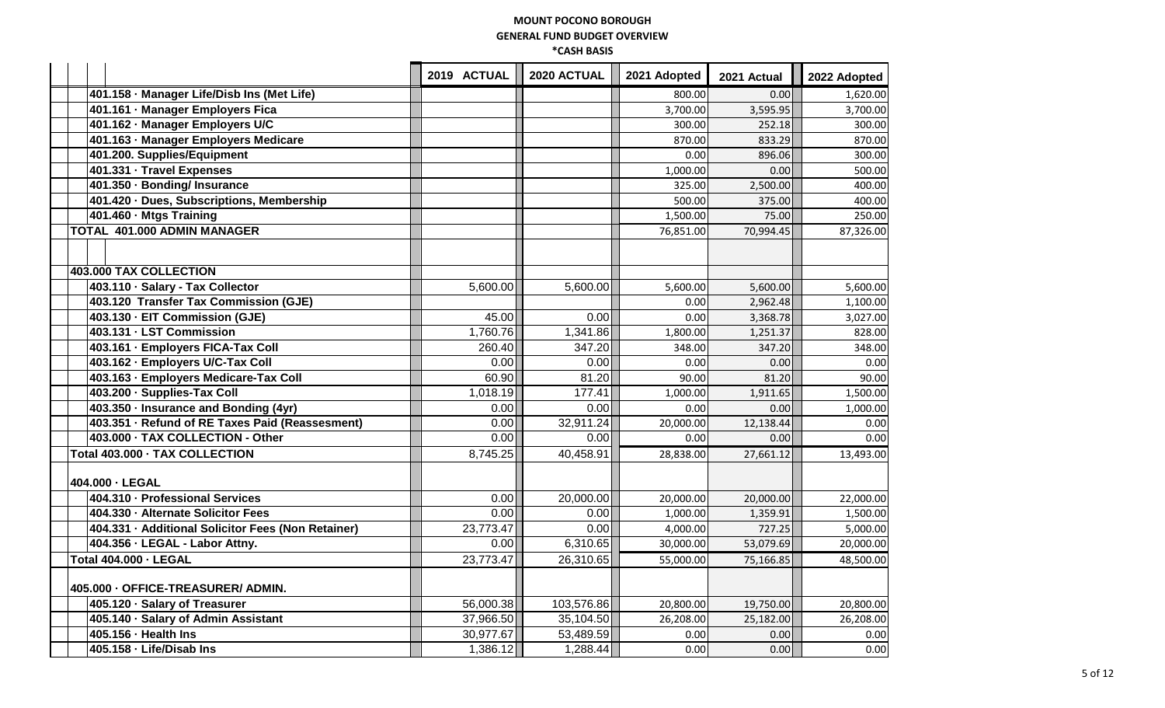|                                                    | 2019 ACTUAL | 2020 ACTUAL | 2021 Adopted | 2021 Actual | 2022 Adopted |
|----------------------------------------------------|-------------|-------------|--------------|-------------|--------------|
| 401.158 - Manager Life/Disb Ins (Met Life)         |             |             | 800.00       | 0.00        | 1,620.00     |
| 401.161 · Manager Employers Fica                   |             |             | 3,700.00     | 3,595.95    | 3,700.00     |
| 401.162 - Manager Employers U/C                    |             |             | 300.00       | 252.18      | 300.00       |
| 401.163 · Manager Employers Medicare               |             |             | 870.00       | 833.29      | 870.00       |
| 401.200. Supplies/Equipment                        |             |             | 0.00         | 896.06      | 300.00       |
| 401.331 - Travel Expenses                          |             |             | 1,000.00     | 0.00        | 500.00       |
| 401.350 - Bonding/ Insurance                       |             |             | 325.00       | 2,500.00    | 400.00       |
| 401.420 · Dues, Subscriptions, Membership          |             |             | 500.00       | 375.00      | 400.00       |
| 401.460 - Mtgs Training                            |             |             | 1,500.00     | 75.00       | 250.00       |
| <b>TOTAL 401.000 ADMIN MANAGER</b>                 |             |             | 76,851.00    | 70,994.45   | 87,326.00    |
|                                                    |             |             |              |             |              |
| <b>403.000 TAX COLLECTION</b>                      |             |             |              |             |              |
| 403.110 · Salary - Tax Collector                   | 5,600.00    | 5,600.00    | 5,600.00     | 5,600.00    | 5,600.00     |
| 403.120 Transfer Tax Commission (GJE)              |             |             | 0.00         | 2,962.48    | 1,100.00     |
| 403.130 - EIT Commission (GJE)                     | 45.00       | 0.00        | 0.00         | 3,368.78    | 3,027.00     |
| 403.131 - LST Commission                           | 1,760.76    | 1,341.86    | 1,800.00     | 1,251.37    | 828.00       |
| 403.161 - Employers FICA-Tax Coll                  | 260.40      | 347.20      | 348.00       | 347.20      | 348.00       |
| 403.162 - Employers U/C-Tax Coll                   | 0.00        | 0.00        | 0.00         | 0.00        | 0.00         |
| 403.163 - Employers Medicare-Tax Coll              | 60.90       | 81.20       | 90.00        | 81.20       | 90.00        |
| 403.200 · Supplies-Tax Coll                        | 1,018.19    | 177.41      | 1,000.00     | 1,911.65    | 1,500.00     |
| 403.350 - Insurance and Bonding (4yr)              | 0.00        | 0.00        | 0.00         | 0.00        | 1,000.00     |
| 403.351 · Refund of RE Taxes Paid (Reassesment)    | 0.00        | 32,911.24   | 20,000.00    | 12,138.44   | 0.00         |
| 403.000 - TAX COLLECTION - Other                   | 0.00        | 0.00        | 0.00         | 0.00        | 0.00         |
| Total 403.000 - TAX COLLECTION                     | 8,745.25    | 40,458.91   | 28,838.00    | 27,661.12   | 13,493.00    |
| 404.000 - LEGAL                                    |             |             |              |             |              |
| 404.310 - Professional Services                    | 0.00        | 20,000.00   | 20,000.00    | 20,000.00   | 22,000.00    |
| 404.330 - Alternate Solicitor Fees                 | 0.00        | 0.00        | 1,000.00     | 1,359.91    | 1,500.00     |
| 404.331 · Additional Solicitor Fees (Non Retainer) | 23,773.47   | 0.00        | 4,000.00     | 727.25      | 5,000.00     |
| 404.356 - LEGAL - Labor Attny.                     | 0.00        | 6,310.65    | 30,000.00    | 53,079.69   | 20,000.00    |
| <b>Total 404.000 - LEGAL</b>                       | 23,773.47   | 26,310.65   | 55,000.00    | 75,166.85   | 48,500.00    |
| 405.000 - OFFICE-TREASURER/ ADMIN.                 |             |             |              |             |              |
| 405.120 · Salary of Treasurer                      | 56,000.38   | 103,576.86  | 20,800.00    | 19,750.00   | 20,800.00    |
| 405.140 · Salary of Admin Assistant                | 37,966.50   | 35,104.50   | 26,208.00    | 25,182.00   | 26,208.00    |
| 405.156 - Health Ins                               | 30,977.67   | 53,489.59   | 0.00         | 0.00        | 0.00         |
| 405.158 - Life/Disab Ins                           | 1,386.12    | 1,288.44    | 0.00         | 0.00        | 0.00         |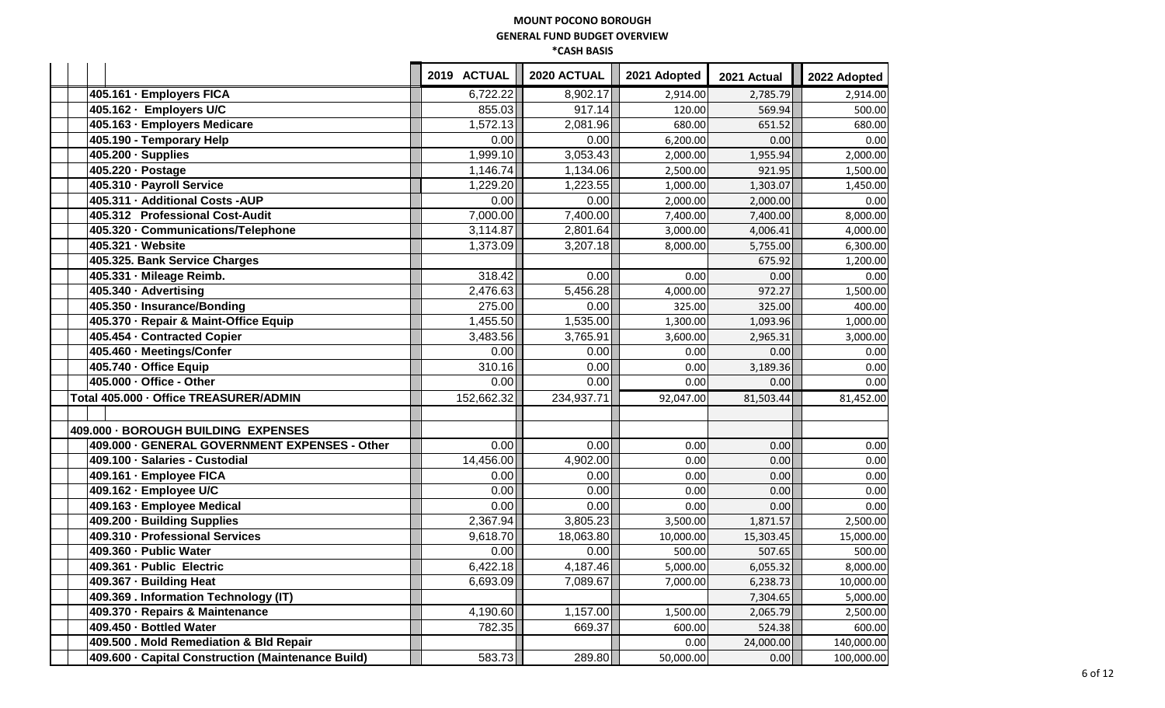|                                                    | 2019 ACTUAL | 2020 ACTUAL | 2021 Adopted | 2021 Actual | 2022 Adopted |
|----------------------------------------------------|-------------|-------------|--------------|-------------|--------------|
| 405.161 · Employers FICA                           | 6,722.22    | 8,902.17    | 2,914.00     | 2,785.79    | 2,914.00     |
| 405.162 · Employers U/C                            | 855.03      | 917.14      | 120.00       | 569.94      | 500.00       |
| 405.163 - Employers Medicare                       | 1,572.13    | 2,081.96    | 680.00       | 651.52      | 680.00       |
| 405.190 - Temporary Help                           | 0.00        | 0.00        | 6,200.00     | 0.00        | 0.00         |
| $\overline{405.200} \cdot$ Supplies                | 1,999.10    | 3,053.43    | 2,000.00     | 1,955.94    | 2,000.00     |
| 405.220 · Postage                                  | 1,146.74    | 1,134.06    | 2,500.00     | 921.95      | 1,500.00     |
| 405.310 · Payroll Service                          | 1,229.20    | 1,223.55    | 1,000.00     | 1,303.07    | 1,450.00     |
| 405.311 - Additional Costs -AUP                    | 0.00        | 0.00        | 2,000.00     | 2,000.00    | 0.00         |
| 405.312 Professional Cost-Audit                    | 7,000.00    | 7,400.00    | 7,400.00     | 7,400.00    | 8,000.00     |
| 405.320 - Communications/Telephone                 | 3,114.87    | 2,801.64    | 3,000.00     | 4,006.41    | 4,000.00     |
| 405.321 · Website                                  | 1,373.09    | 3,207.18    | 8,000.00     | 5,755.00    | 6,300.00     |
| 405.325. Bank Service Charges                      |             |             |              | 675.92      | 1,200.00     |
| 405.331 · Mileage Reimb.                           | 318.42      | 0.00        | 0.00         | 0.00        | 0.00         |
| 405.340 - Advertising                              | 2,476.63    | 5,456.28    | 4,000.00     | 972.27      | 1,500.00     |
| 405.350 - Insurance/Bonding                        | 275.00      | 0.00        | 325.00       | 325.00      | 400.00       |
| 405.370 - Repair & Maint-Office Equip              | 1,455.50    | 1,535.00    | 1,300.00     | 1,093.96    | 1,000.00     |
| 405.454 - Contracted Copier                        | 3,483.56    | 3,765.91    | 3,600.00     | 2,965.31    | 3,000.00     |
| 405.460 · Meetings/Confer                          | 0.00        | 0.00        | 0.00         | 0.00        | 0.00         |
| 405.740 - Office Equip                             | 310.16      | 0.00        | 0.00         | 3,189.36    | 0.00         |
| 405.000 - Office - Other                           | 0.00        | 0.00        | 0.00         | 0.00        | 0.00         |
| Total 405.000 - Office TREASURER/ADMIN             | 152,662.32  | 234,937.71  | 92,047.00    | 81,503.44   | 81,452.00    |
|                                                    |             |             |              |             |              |
| 409.000 - BOROUGH BUILDING EXPENSES                |             |             |              |             |              |
| 409.000 - GENERAL GOVERNMENT EXPENSES - Other      | 0.00        | 0.00        | 0.00         | 0.00        | 0.00         |
| 409.100 - Salaries - Custodial                     | 14,456.00   | 4,902.00    | 0.00         | 0.00        | 0.00         |
| 409.161 · Employee FICA                            | 0.00        | 0.00        | 0.00         | 0.00        | 0.00         |
| 409.162 - Employee U/C                             | 0.00        | 0.00        | 0.00         | 0.00        | 0.00         |
| 409.163 - Employee Medical                         | 0.00        | 0.00        | 0.00         | 0.00        | 0.00         |
| 409.200 · Building Supplies                        | 2,367.94    | 3,805.23    | 3,500.00     | 1,871.57    | 2,500.00     |
| 409.310 - Professional Services                    | 9,618.70    | 18,063.80   | 10,000.00    | 15,303.45   | 15,000.00    |
| 409.360 - Public Water                             | 0.00        | 0.00        | 500.00       | 507.65      | 500.00       |
| 409.361 - Public Electric                          | 6,422.18    | 4,187.46    | 5,000.00     | 6,055.32    | 8,000.00     |
| 409.367 - Building Heat                            | 6,693.09    | 7,089.67    | 7,000.00     | 6,238.73    | 10,000.00    |
| 409.369 . Information Technology (IT)              |             |             |              | 7,304.65    | 5,000.00     |
| 409.370 · Repairs & Maintenance                    | 4,190.60    | 1,157.00    | 1,500.00     | 2,065.79    | 2,500.00     |
| 409.450 - Bottled Water                            | 782.35      | 669.37      | 600.00       | 524.38      | 600.00       |
| 409.500 . Mold Remediation & Bld Repair            |             |             | 0.00         | 24,000.00   | 140,000.00   |
| 409.600 · Capital Construction (Maintenance Build) | 583.73      | 289.80      | 50,000.00    | 0.00        | 100,000.00   |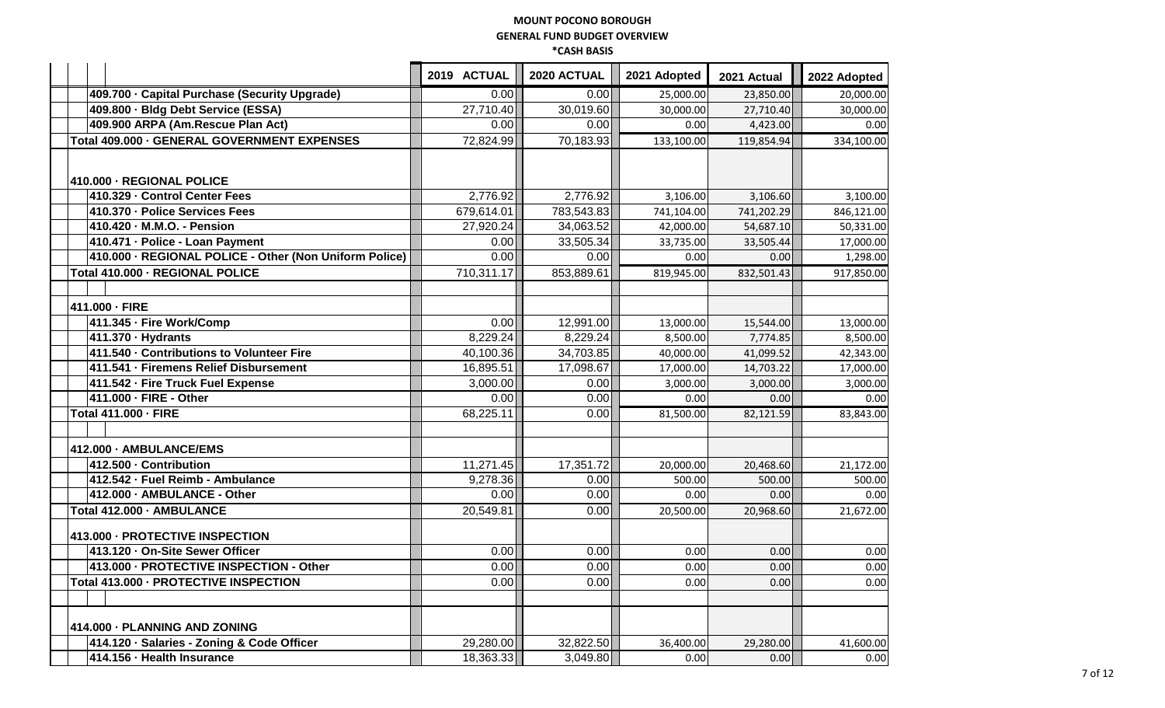|                                                        | 2019 ACTUAL | 2020 ACTUAL | 2021 Adopted | 2021 Actual | 2022 Adopted |
|--------------------------------------------------------|-------------|-------------|--------------|-------------|--------------|
| 409.700 · Capital Purchase (Security Upgrade)          | 0.00        | 0.00        | 25,000.00    | 23,850.00   | 20,000.00    |
| 409.800 · Bldg Debt Service (ESSA)                     | 27,710.40   | 30,019.60   | 30,000.00    | 27,710.40   | 30,000.00    |
| 409.900 ARPA (Am.Rescue Plan Act)                      | 0.00        | 0.00        | 0.00         | 4,423.00    | 0.00         |
| Total 409.000 - GENERAL GOVERNMENT EXPENSES            | 72,824.99   | 70,183.93   | 133,100.00   | 119,854.94  | 334,100.00   |
| 410.000 - REGIONAL POLICE                              |             |             |              |             |              |
| 410.329 - Control Center Fees                          | 2,776.92    | 2,776.92    | 3,106.00     | 3,106.60    | 3,100.00     |
| 410.370 - Police Services Fees                         | 679,614.01  | 783,543.83  | 741,104.00   | 741,202.29  | 846,121.00   |
| 410.420 - M.M.O. - Pension                             | 27,920.24   | 34,063.52   | 42,000.00    | 54,687.10   | 50,331.00    |
| 410.471 - Police - Loan Payment                        | 0.00        | 33,505.34   | 33,735.00    | 33,505.44   | 17,000.00    |
| 410.000 - REGIONAL POLICE - Other (Non Uniform Police) | 0.00        | 0.00        | 0.00         | 0.00        | 1,298.00     |
| Total 410.000 - REGIONAL POLICE                        | 710,311.17  | 853,889.61  | 819,945.00   | 832,501.43  | 917,850.00   |
| 411.000 - FIRE                                         |             |             |              |             |              |
| 411.345 - Fire Work/Comp                               | 0.00        | 12,991.00   | 13,000.00    | 15,544.00   | 13,000.00    |
| 411.370 - Hydrants                                     | 8,229.24    | 8,229.24    | 8,500.00     | 7,774.85    | 8,500.00     |
| 411.540 - Contributions to Volunteer Fire              | 40,100.36   | 34,703.85   | 40,000.00    | 41,099.52   | 42,343.00    |
| 411.541 - Firemens Relief Disbursement                 | 16,895.51   | 17,098.67   | 17,000.00    | 14,703.22   | 17,000.00    |
| 411.542 - Fire Truck Fuel Expense                      | 3,000.00    | 0.00        | 3,000.00     | 3,000.00    | 3,000.00     |
| 411.000 - FIRE - Other                                 | 0.00        | 0.00        | 0.00         | 0.00        | 0.00         |
| Total 411.000 - FIRE                                   | 68,225.11   | 0.00        | 81,500.00    | 82,121.59   | 83,843.00    |
|                                                        |             |             |              |             |              |
| 412.000 - AMBULANCE/EMS                                |             |             |              |             |              |
| 412.500 - Contribution                                 | 11,271.45   | 17,351.72   | 20,000.00    | 20,468.60   | 21,172.00    |
| 412.542 - Fuel Reimb - Ambulance                       | 9,278.36    | 0.00        | 500.00       | 500.00      | 500.00       |
| 412.000 - AMBULANCE - Other                            | 0.00        | 0.00        | 0.00         | 0.00        | 0.00         |
| Total 412.000 - AMBULANCE                              | 20,549.81   | 0.00        | 20,500.00    | 20,968.60   | 21,672.00    |
| 413.000 - PROTECTIVE INSPECTION                        |             |             |              |             |              |
| 413.120 - On-Site Sewer Officer                        | 0.00        | 0.00        | 0.00         | 0.00        | 0.00         |
| 413.000 - PROTECTIVE INSPECTION - Other                | 0.00        | 0.00        | 0.00         | 0.00        | 0.00         |
| Total 413.000 - PROTECTIVE INSPECTION                  | 0.00        | 0.00        | 0.00         | 0.00        | 0.00         |
|                                                        |             |             |              |             |              |
| 414.000 - PLANNING AND ZONING                          |             |             |              |             |              |
| 414.120 · Salaries - Zoning & Code Officer             | 29,280.00   | 32,822.50   | 36,400.00    | 29,280.00   | 41,600.00    |
| 414.156 - Health Insurance                             | 18,363.33   | 3,049.80    | 0.00         | 0.00        | 0.00         |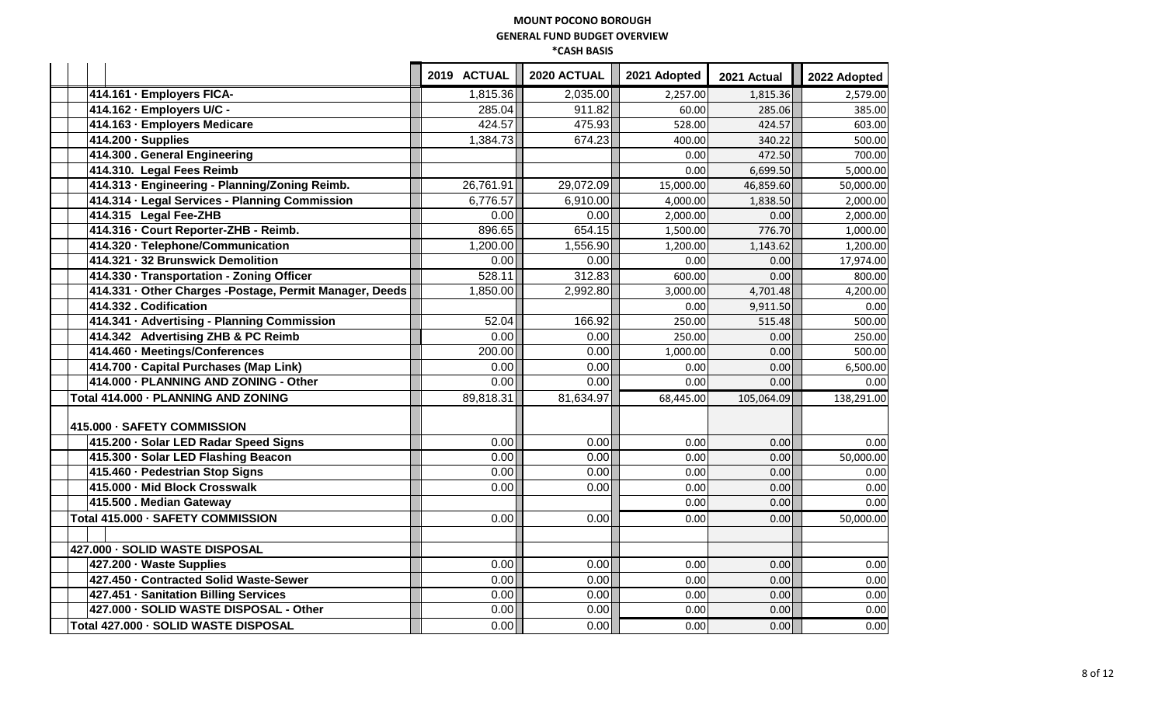|                                                         | 2019 ACTUAL | 2020 ACTUAL | 2021 Adopted | 2021 Actual | 2022 Adopted |
|---------------------------------------------------------|-------------|-------------|--------------|-------------|--------------|
| 414.161 · Employers FICA-                               | 1,815.36    | 2,035.00    | 2,257.00     | 1,815.36    | 2,579.00     |
| 414.162 - Employers U/C -                               | 285.04      | 911.82      | 60.00        | 285.06      | 385.00       |
| 414.163 - Employers Medicare                            | 424.57      | 475.93      | 528.00       | 424.57      | 603.00       |
| $414.200 \cdot$ Supplies                                | 1,384.73    | 674.23      | 400.00       | 340.22      | 500.00       |
| 414.300 . General Engineering                           |             |             | 0.00         | 472.50      | 700.00       |
| 414.310. Legal Fees Reimb                               |             |             | 0.00         | 6,699.50    | 5,000.00     |
| 414.313 · Engineering - Planning/Zoning Reimb.          | 26,761.91   | 29,072.09   | 15,000.00    | 46,859.60   | 50,000.00    |
| 414.314 · Legal Services - Planning Commission          | 6,776.57    | 6,910.00    | 4,000.00     | 1,838.50    | 2,000.00     |
| 414.315 Legal Fee-ZHB                                   | 0.00        | 0.00        | 2,000.00     | 0.00        | 2,000.00     |
| 414.316 - Court Reporter-ZHB - Reimb.                   | 896.65      | 654.15      | 1,500.00     | 776.70      | 1,000.00     |
| 414.320 · Telephone/Communication                       | 1,200.00    | 1,556.90    | 1,200.00     | 1,143.62    | 1,200.00     |
| 414.321 - 32 Brunswick Demolition                       | 0.00        | 0.00        | 0.00         | 0.00        | 17,974.00    |
| 414.330 - Transportation - Zoning Officer               | 528.11      | 312.83      | 600.00       | 0.00        | 800.00       |
| 414.331 · Other Charges -Postage, Permit Manager, Deeds | 1,850.00    | 2,992.80    | 3,000.00     | 4,701.48    | 4,200.00     |
| 414.332. Codification                                   |             |             | 0.00         | 9,911.50    | 0.00         |
| 414.341 · Advertising - Planning Commission             | 52.04       | 166.92      | 250.00       | 515.48      | 500.00       |
| 414.342 Advertising ZHB & PC Reimb                      | 0.00        | 0.00        | 250.00       | 0.00        | 250.00       |
| 414.460 - Meetings/Conferences                          | 200.00      | 0.00        | 1,000.00     | 0.00        | 500.00       |
| 414.700 · Capital Purchases (Map Link)                  | 0.00        | 0.00        | 0.00         | 0.00        | 6,500.00     |
| 414.000 - PLANNING AND ZONING - Other                   | 0.00        | 0.00        | 0.00         | 0.00        | 0.00         |
| Total 414.000 - PLANNING AND ZONING                     | 89,818.31   | 81,634.97   | 68,445.00    | 105,064.09  | 138,291.00   |
| 415.000 - SAFETY COMMISSION                             |             |             |              |             |              |
| 415.200 · Solar LED Radar Speed Signs                   | 0.00        | 0.00        | 0.00         | 0.00        | 0.00         |
| 415.300 · Solar LED Flashing Beacon                     | 0.00        | 0.00        | 0.00         | 0.00        | 50,000.00    |
| 415.460 - Pedestrian Stop Signs                         | 0.00        | 0.00        | 0.00         | 0.00        | 0.00         |
| 415.000 - Mid Block Crosswalk                           | 0.00        | 0.00        | 0.00         | 0.00        | 0.00         |
| 415.500 . Median Gateway                                |             |             | 0.00         | 0.00        | 0.00         |
| Total 415.000 - SAFETY COMMISSION                       | 0.00        | 0.00        | 0.00         | 0.00        | 50,000.00    |
| 427.000 - SOLID WASTE DISPOSAL                          |             |             |              |             |              |
| 427.200 - Waste Supplies                                | 0.00        | 0.00        | 0.00         | 0.00        | 0.00         |
| 427.450 - Contracted Solid Waste-Sewer                  | 0.00        | 0.00        | 0.00         | 0.00        | 0.00         |
| 427.451 · Sanitation Billing Services                   | 0.00        | 0.00        | 0.00         | 0.00        | 0.00         |
| 427.000 - SOLID WASTE DISPOSAL - Other                  | 0.00        | 0.00        | 0.00         | 0.00        | 0.00         |
| Total 427.000 - SOLID WASTE DISPOSAL                    | 0.00        | 0.00        | 0.00         | 0.00        | 0.00         |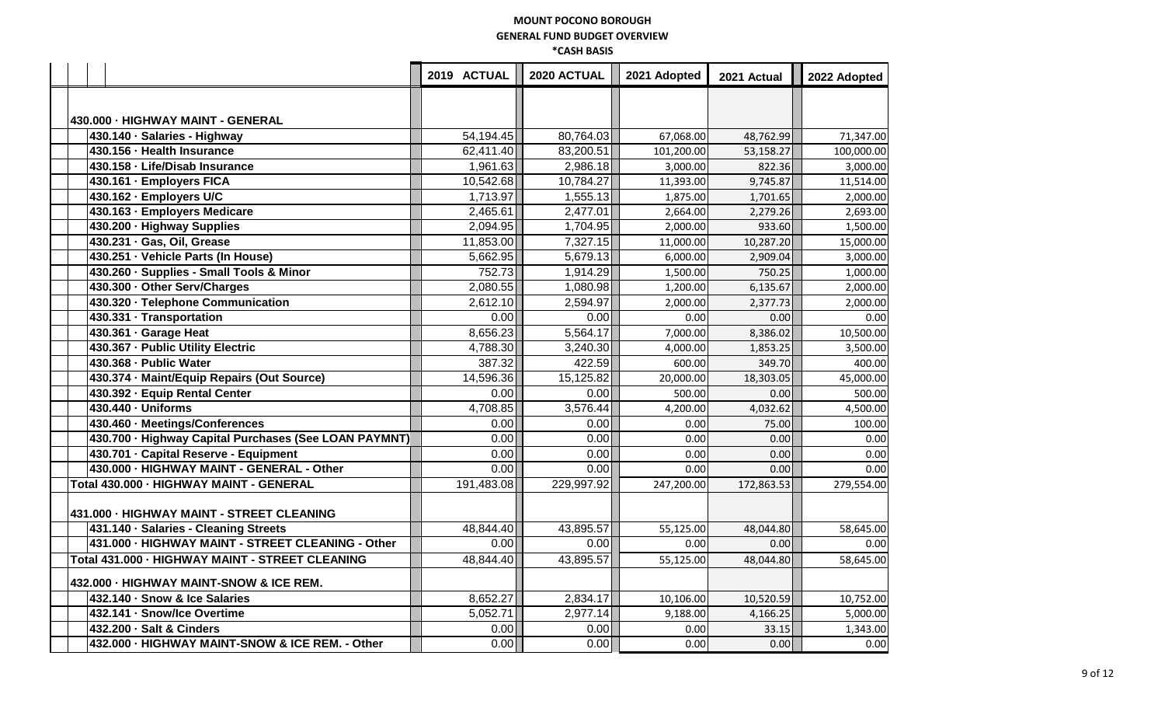|                                                       | 2019 ACTUAL | 2020 ACTUAL | 2021 Adopted | 2021 Actual | 2022 Adopted |
|-------------------------------------------------------|-------------|-------------|--------------|-------------|--------------|
|                                                       |             |             |              |             |              |
|                                                       |             |             |              |             |              |
| 430.000 - HIGHWAY MAINT - GENERAL                     |             |             |              |             |              |
| 430.140 · Salaries - Highway                          | 54,194.45   | 80,764.03   | 67,068.00    | 48,762.99   | 71,347.00    |
| 430.156 - Health Insurance                            | 62,411.40   | 83,200.51   | 101,200.00   | 53,158.27   | 100,000.00   |
| 430.158 - Life/Disab Insurance                        | 1,961.63    | 2,986.18    | 3,000.00     | 822.36      | 3,000.00     |
| 430.161 - Employers FICA                              | 10,542.68   | 10,784.27   | 11,393.00    | 9,745.87    | 11,514.00    |
| 430.162 - Employers U/C                               | 1,713.97    | 1,555.13    | 1,875.00     | 1,701.65    | 2,000.00     |
| 430.163 - Employers Medicare                          | 2,465.61    | 2,477.01    | 2,664.00     | 2,279.26    | 2,693.00     |
| 430.200 · Highway Supplies                            | 2,094.95    | 1,704.95    | 2,000.00     | 933.60      | 1,500.00     |
| 430.231 · Gas, Oil, Grease                            | 11,853.00   | 7,327.15    | 11,000.00    | 10,287.20   | 15,000.00    |
| 430.251 · Vehicle Parts (In House)                    | 5,662.95    | 5,679.13    | 6,000.00     | 2,909.04    | 3,000.00     |
| 430.260 · Supplies - Small Tools & Minor              | 752.73      | 1,914.29    | 1,500.00     | 750.25      | 1,000.00     |
| 430.300 - Other Serv/Charges                          | 2,080.55    | 1,080.98    | 1,200.00     | 6,135.67    | 2,000.00     |
| 430.320 - Telephone Communication                     | 2,612.10    | 2,594.97    | 2,000.00     | 2,377.73    | 2,000.00     |
| 430.331 · Transportation                              | 0.00        | 0.00        | 0.00         | 0.00        | 0.00         |
| 430.361 · Garage Heat                                 | 8,656.23    | 5,564.17    | 7,000.00     | 8,386.02    | 10,500.00    |
| 430.367 - Public Utility Electric                     | 4,788.30    | 3,240.30    | 4,000.00     | 1,853.25    | 3,500.00     |
| 430.368 - Public Water                                | 387.32      | 422.59      | 600.00       | 349.70      | 400.00       |
| 430.374 - Maint/Equip Repairs (Out Source)            | 14,596.36   | 15,125.82   | 20,000.00    | 18,303.05   | 45,000.00    |
| 430.392 - Equip Rental Center                         | 0.00        | 0.00        | 500.00       | 0.00        | 500.00       |
| 430.440 - Uniforms                                    | 4,708.85    | 3,576.44    | 4,200.00     | 4,032.62    | 4,500.00     |
| 430.460 - Meetings/Conferences                        | 0.00        | 0.00        | 0.00         | 75.00       | 100.00       |
| 430.700 · Highway Capital Purchases (See LOAN PAYMNT) | 0.00        | 0.00        | 0.00         | 0.00        | 0.00         |
| 430.701 - Capital Reserve - Equipment                 | 0.00        | 0.00        | 0.00         | 0.00        | 0.00         |
| 430.000 - HIGHWAY MAINT - GENERAL - Other             | 0.00        | 0.00        | 0.00         | 0.00        | 0.00         |
| Total 430.000 - HIGHWAY MAINT - GENERAL               | 191,483.08  | 229,997.92  | 247,200.00   | 172,863.53  | 279,554.00   |
| 431.000 - HIGHWAY MAINT - STREET CLEANING             |             |             |              |             |              |
| 431.140 · Salaries - Cleaning Streets                 | 48,844.40   | 43,895.57   | 55,125.00    | 48,044.80   | 58,645.00    |
| 431.000 - HIGHWAY MAINT - STREET CLEANING - Other     | 0.00        | 0.00        | 0.00         | 0.00        | 0.00         |
| Total 431.000 - HIGHWAY MAINT - STREET CLEANING       | 48,844.40   | 43,895.57   | 55,125.00    | 48,044.80   | 58,645.00    |
| 432.000 - HIGHWAY MAINT-SNOW & ICE REM.               |             |             |              |             |              |
| 432.140 · Snow & Ice Salaries                         | 8,652.27    | 2,834.17    | 10,106.00    | 10,520.59   | 10,752.00    |
| 432.141 · Snow/Ice Overtime                           | 5,052.71    | 2,977.14    | 9,188.00     | 4,166.25    | 5,000.00     |
| 432.200 - Salt & Cinders                              | 0.00        | 0.00        | 0.00         | 33.15       | 1,343.00     |
| 432.000 - HIGHWAY MAINT-SNOW & ICE REM. - Other       | 0.00        | 0.00        | 0.00         | 0.00        | 0.00         |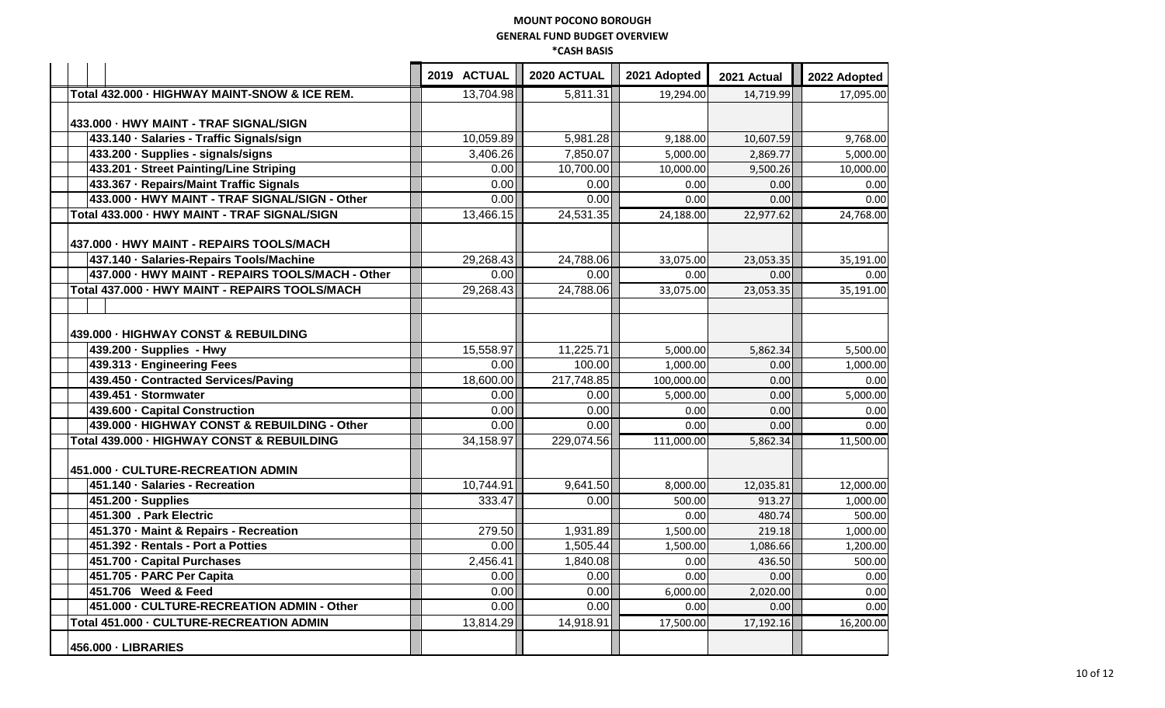|                                                  | 2019 ACTUAL       | 2020 ACTUAL | 2021 Adopted | 2021 Actual | 2022 Adopted |
|--------------------------------------------------|-------------------|-------------|--------------|-------------|--------------|
| Total 432.000 - HIGHWAY MAINT-SNOW & ICE REM.    | 13,704.98         | 5,811.31    | 19,294.00    | 14,719.99   | 17,095.00    |
|                                                  |                   |             |              |             |              |
| 433.000 - HWY MAINT - TRAF SIGNAL/SIGN           |                   |             |              |             |              |
| 433.140 · Salaries - Traffic Signals/sign        | 10,059.89         | 5,981.28    | 9,188.00     | 10,607.59   | 9,768.00     |
| 433.200 · Supplies - signals/signs               | 3,406.26          | 7,850.07    | 5,000.00     | 2,869.77    | 5,000.00     |
| 433.201 - Street Painting/Line Striping          | 0.00              | 10,700.00   | 10,000.00    | 9,500.26    | 10,000.00    |
| 433.367 - Repairs/Maint Traffic Signals          | 0.00              | 0.00        | 0.00         | 0.00        | 0.00         |
| 433.000 - HWY MAINT - TRAF SIGNAL/SIGN - Other   | 0.00              | 0.00        | 0.00         | 0.00        | 0.00         |
| Total 433.000 - HWY MAINT - TRAF SIGNAL/SIGN     | 13,466.15         | 24,531.35   | 24,188.00    | 22,977.62   | 24,768.00    |
| 437.000 - HWY MAINT - REPAIRS TOOLS/MACH         |                   |             |              |             |              |
| 437.140 · Salaries-Repairs Tools/Machine         | 29,268.43         | 24,788.06   | 33,075.00    | 23,053.35   | 35,191.00    |
| 437.000 - HWY MAINT - REPAIRS TOOLS/MACH - Other | 0.00              | 0.00        | 0.00         | 0.00        | 0.00         |
| Total 437.000 - HWY MAINT - REPAIRS TOOLS/MACH   | 29,268.43         | 24,788.06   | 33,075.00    | 23,053.35   | 35,191.00    |
|                                                  |                   |             |              |             |              |
| 439.000 - HIGHWAY CONST & REBUILDING             |                   |             |              |             |              |
| 439.200 - Supplies - Hwy                         | 15,558.97         | 11,225.71   | 5,000.00     | 5,862.34    | 5,500.00     |
| 439.313 - Engineering Fees                       | 0.001             | 100.00      | 1,000.00     | 0.00        | 1,000.00     |
| 439.450 - Contracted Services/Paving             | 18,600.00         | 217,748.85  | 100,000.00   | 0.00        | 0.00         |
| 439.451 - Stormwater                             | 0.00              | 0.00        | 5,000.00     | 0.00        | 5,000.00     |
| 439.600 - Capital Construction                   | 0.00              | 0.00        | 0.00         | 0.00        | 0.00         |
| 439.000 - HIGHWAY CONST & REBUILDING - Other     | 0.00              | 0.00        | 0.00         | 0.00        | 0.00         |
| Total 439.000 - HIGHWAY CONST & REBUILDING       | 34,158.97         | 229,074.56  | 111,000.00   | 5,862.34    | 11,500.00    |
| 451.000 - CULTURE-RECREATION ADMIN               |                   |             |              |             |              |
| 451.140 - Salaries - Recreation                  | 10,744.91         | 9,641.50    | 8,000.00     | 12,035.81   | 12,000.00    |
| 451.200 · Supplies                               | 333.47            | 0.00        | 500.00       | 913.27      | 1,000.00     |
| 451.300 . Park Electric                          |                   |             | 0.00         | 480.74      | 500.00       |
| 451.370 - Maint & Repairs - Recreation           | 279.50            | 1,931.89    | 1,500.00     | 219.18      | 1,000.00     |
| 451.392 - Rentals - Port a Potties               | 0.00              | 1,505.44    | 1,500.00     | 1,086.66    | 1,200.00     |
| 451.700 · Capital Purchases                      | 2,456.41          | 1,840.08    | 0.00         | 436.50      | 500.00       |
| 451.705 - PARC Per Capita                        | 0.00              | 0.00        | 0.00         | 0.00        | 0.00         |
| 451.706 Weed & Feed                              | 0.00              | 0.00        | 6,000.00     | 2,020.00    | 0.00         |
| 451.000 - CULTURE-RECREATION ADMIN - Other       | 0.00 <sub>l</sub> | 0.00        | 0.00         | 0.00        | 0.00         |
| Total 451.000 - CULTURE-RECREATION ADMIN         | 13,814.29         | 14,918.91   | 17,500.00    | 17,192.16   | 16.200.00    |
| 456.000 - LIBRARIES                              |                   |             |              |             |              |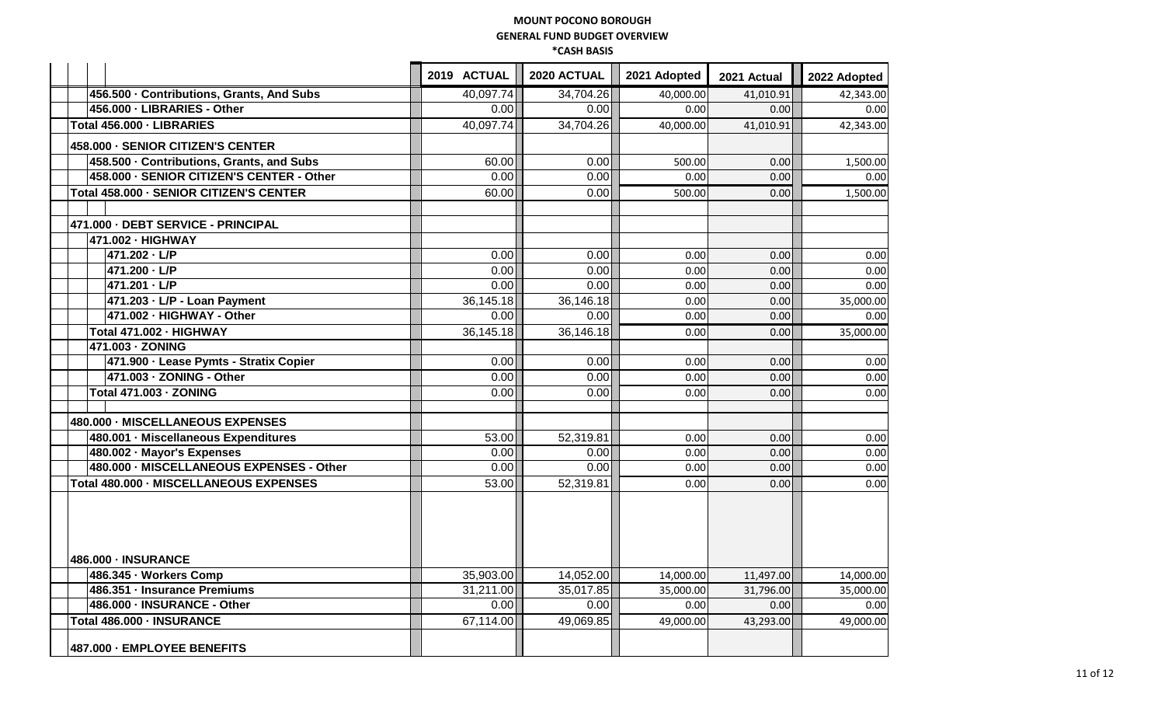|                                           | 2019 ACTUAL | 2020 ACTUAL | 2021 Adopted | 2021 Actual | 2022 Adopted |
|-------------------------------------------|-------------|-------------|--------------|-------------|--------------|
| 456.500 - Contributions, Grants, And Subs | 40,097.74   | 34,704.26   | 40,000.00    | 41,010.91   | 42,343.00    |
| 456.000 - LIBRARIES - Other               | 0.00        | 0.00        | 0.00         | 0.00        | 0.00         |
| Total 456.000 - LIBRARIES                 | 40,097.74   | 34,704.26   | 40,000.00    | 41,010.91   | 42,343.00    |
| 458.000 - SENIOR CITIZEN'S CENTER         |             |             |              |             |              |
| 458.500 - Contributions, Grants, and Subs | 60.00       | 0.00        | 500.00       | 0.00        | 1,500.00     |
| 458.000 - SENIOR CITIZEN'S CENTER - Other | 0.00        | 0.00        | 0.00         | 0.00        | 0.00         |
| Total 458.000 - SENIOR CITIZEN'S CENTER   | 60.00       | 0.00        | 500.00       | 0.00        | 1,500.00     |
| 471.000 - DEBT SERVICE - PRINCIPAL        |             |             |              |             |              |
| 471.002 · HIGHWAY                         |             |             |              |             |              |
| 471.202 · L/P                             | 0.00        | 0.00        | 0.00         | 0.00        | 0.00         |
| 471.200 · L/P                             | 0.00        | 0.00        | 0.00         | 0.00        | 0.00         |
| 471.201 · L/P                             | 0.00        | 0.00        | 0.00         | 0.00        | 0.00         |
| 471.203 · L/P - Loan Payment              | 36,145.18   | 36,146.18   | 0.00         | 0.00        | 35,000.00    |
| 471.002 - HIGHWAY - Other                 | 0.00        | 0.00        | 0.00         | 0.00        | 0.00         |
| Total 471.002 - HIGHWAY                   | 36,145.18   | 36,146.18   | 0.00         | 0.00        | 35,000.00    |
| 471.003 - ZONING                          |             |             |              |             |              |
| 471.900 - Lease Pymts - Stratix Copier    | 0.00        | 0.00        | 0.00         | 0.00        | 0.00         |
| 471.003 - ZONING - Other                  | 0.00        | 0.00        | 0.00         | 0.00        | 0.00         |
| <b>Total 471.003 - ZONING</b>             | 0.00        | 0.00        | 0.00         | 0.00        | 0.00         |
| 480.000 - MISCELLANEOUS EXPENSES          |             |             |              |             |              |
| 480.001 - Miscellaneous Expenditures      | 53.00       | 52,319.81   | 0.00         | 0.00        | 0.00         |
| 480.002 - Mayor's Expenses                | 0.00        | 0.00        | 0.00         | 0.00        | 0.00         |
| 480.000 - MISCELLANEOUS EXPENSES - Other  | 0.00        | 0.00        | 0.00         | 0.00        | 0.00         |
| Total 480.000 - MISCELLANEOUS EXPENSES    | 53.00       | 52,319.81   | 0.00         | 0.00        | 0.00         |
| 486.000 - INSURANCE                       |             |             |              |             |              |
| 486.345 - Workers Comp                    | 35,903.00   | 14,052.00   | 14,000.00    | 11,497.00   | 14,000.00    |
| 486.351 - Insurance Premiums              | 31,211.00   | 35,017.85   | 35,000.00    | 31,796.00   | 35,000.00    |
| 486.000 - INSURANCE - Other               | 0.00        | 0.00        | 0.00         | 0.00        | 0.00         |
| Total 486.000 - INSURANCE                 | 67,114.00   | 49,069.85   | 49,000.00    | 43,293.00   | 49.000.00    |
| 487.000 - EMPLOYEE BENEFITS               |             |             |              |             |              |